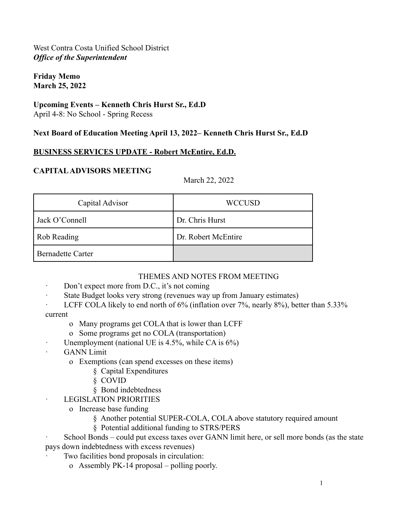#### **Friday Memo March 25, 2022**

## **Upcoming Events – Kenneth Chris Hurst Sr., Ed.D**

April 4-8: No School - Spring Recess

### **Next Board of Education Meeting April 13, 2022– Kenneth Chris Hurst Sr., Ed.D**

## **BUSINESS SERVICES UPDATE - Robert McEntire, Ed.D.**

## **CAPITALADVISORS MEETING**

March 22, 2022

| Capital Advisor          | <b>WCCUSD</b>       |
|--------------------------|---------------------|
| Jack O'Connell           | Dr. Chris Hurst     |
| Rob Reading              | Dr. Robert McEntire |
| <b>Bernadette Carter</b> |                     |

#### THEMES AND NOTES FROM MEETING

- · Don't expect more from D.C., it's not coming
- · State Budget looks very strong (revenues way up from January estimates)
- LCFF COLA likely to end north of 6% (inflation over 7%, nearly 8%), better than 5.33%

current

- o Many programs get COLA that is lower than LCFF
- o Some programs get no COLA (transportation)
- Unemployment (national UE is  $4.5\%$ , while CA is  $6\%$ )
- · GANN Limit
	- o Exemptions (can spend excesses on these items)
		- § Capital Expenditures
		- § COVID
		- § Bond indebtedness
	- LEGISLATION PRIORITIES
		- o Increase base funding
			- § Another potential SUPER-COLA, COLA above statutory required amount
			- § Potential additional funding to STRS/PERS
- School Bonds could put excess taxes over GANN limit here, or sell more bonds (as the state pays down indebtedness with excess revenues)
	- Two facilities bond proposals in circulation:
		- o Assembly PK-14 proposal polling poorly.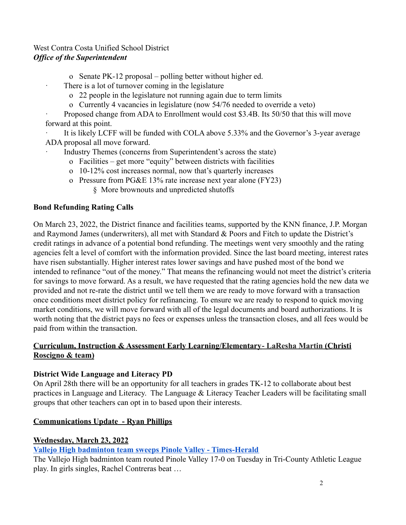o Senate PK-12 proposal – polling better without higher ed.

There is a lot of turnover coming in the legislature

- o 22 people in the legislature not running again due to term limits
- o Currently 4 vacancies in legislature (now 54/76 needed to override a veto)

Proposed change from ADA to Enrollment would cost \$3.4B. Its 50/50 that this will move forward at this point.

It is likely LCFF will be funded with COLA above 5.33% and the Governor's 3-year average ADA proposal all move forward.

Industry Themes (concerns from Superintendent's across the state)

- o Facilities get more "equity" between districts with facilities
- o 10-12% cost increases normal, now that's quarterly increases
- o Pressure from PG&E 13% rate increase next year alone (FY23)

§ More brownouts and unpredicted shutoffs

## **Bond Refunding Rating Calls**

On March 23, 2022, the District finance and facilities teams, supported by the KNN finance, J.P. Morgan and Raymond James (underwriters), all met with Standard & Poors and Fitch to update the District's credit ratings in advance of a potential bond refunding. The meetings went very smoothly and the rating agencies felt a level of comfort with the information provided. Since the last board meeting, interest rates have risen substantially. Higher interest rates lower savings and have pushed most of the bond we intended to refinance "out of the money." That means the refinancing would not meet the district's criteria for savings to move forward. As a result, we have requested that the rating agencies hold the new data we provided and not re-rate the district until we tell them we are ready to move forward with a transaction once conditions meet district policy for refinancing. To ensure we are ready to respond to quick moving market conditions, we will move forward with all of the legal documents and board authorizations. It is worth noting that the district pays no fees or expenses unless the transaction closes, and all fees would be paid from within the transaction.

## **Curriculum, Instruction & Assessment Early Learning/Elementary- LaResha Martin (Christi Roscigno & team)**

# **District Wide Language and Literacy PD**

On April 28th there will be an opportunity for all teachers in grades TK-12 to collaborate about best practices in Language and Literacy. The Language & Literacy Teacher Leaders will be facilitating small groups that other teachers can opt in to based upon their interests.

# **Communications Update - Ryan Phillips**

# **Wednesday, March 23, 2022**

# **[Vallejo High badminton team sweeps Pinole Valley - Times-Herald](https://www.timesheraldonline.com/2022/03/23/vallejo-high-badminton-team-sweeps-pinole-valley)**

The Vallejo High badminton team routed Pinole Valley 17-0 on Tuesday in Tri-County Athletic League play. In girls singles, Rachel Contreras beat …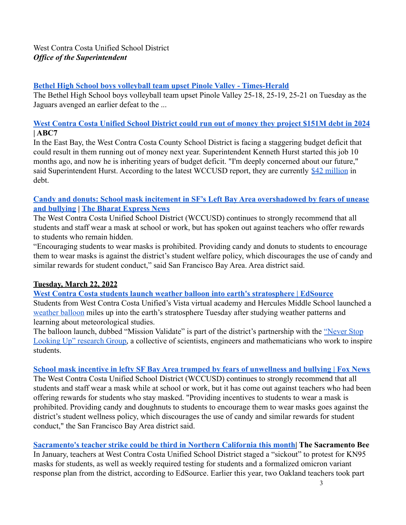#### **[Bethel High School boys volleyball team upset Pinole Valley - Times-Herald](https://www.timesheraldonline.com/2022/03/23/bethel-high-school-boys-volleyball-team-upset-pinole-valley/)**

The Bethel High School boys volleyball team upset Pinole Valley 25-18, 25-19, 25-21 on Tuesday as the Jaguars avenged an earlier defeat to the ...

### **[West Contra Costa Unified School District could run out of money they project \\$151M debt in 2024](https://abc7news.com/west-contra-costa-unified-school-district-wccusd-budget-board/11673683/) | ABC7**

In the East Bay, the West Contra Costa County School District is facing a staggering budget deficit that could result in them running out of money next year. Superintendent Kenneth Hurst started this job 10 months ago, and now he is inheriting years of budget deficit. "I'm deeply concerned about our future," said Superintendent Hurst. According to the latest WCCUSD report, they are currently [\\$42 million](https://simbli.eboardsolutions.com/Meetings/Attachment.aspx?S=36030499&AID=231855&MID=11218) in debt.

#### **[Candy and donuts: School mask incitement in SF's Left Bay Area overshadowed by fears of unease](https://www.thebharatexpressnews.com/candy-and-donuts-school-mask-incitement-in-sfs-left-bay-area-overshadowed-by-fears-of-unease-and-bullying/) [and bullying](https://www.thebharatexpressnews.com/candy-and-donuts-school-mask-incitement-in-sfs-left-bay-area-overshadowed-by-fears-of-unease-and-bullying/) | [The Bharat Express News](https://www.thebharatexpressnews.com/author/amit/)**

The West Contra Costa Unified School District (WCCUSD) continues to strongly recommend that all students and staff wear a mask at school or work, but has spoken out against teachers who offer rewards to students who remain hidden.

"Encouraging students to wear masks is prohibited. Providing candy and donuts to students to encourage them to wear masks is against the district's student welfare policy, which discourages the use of candy and similar rewards for student conduct," said San Francisco Bay Area. Area district said.

## **Tuesday, March 22, 2022**

**[West Contra Costa students launch weather balloon into earth's stratosphere | EdSource](https://edsource.org/updates/west-contra-costa-students-launch-weather-balloon-into-earths-stratosphere)** Students from West Contra Costa Unified's Vista virtual academy and Hercules Middle School launched a [weather balloon](https://www.weather.gov/bmx/kidscorner_weatherballoons) miles up into the earth's stratosphere Tuesday after studying weather patterns and learning about meteorological studies.

The balloon launch, dubbed "Mission Validate" is part of the district's partnership with the ["Never Stop](http://www.oluwasunil.com/nslu)" [Looking Up" research Group,](http://www.oluwasunil.com/nslu) a collective of scientists, engineers and mathematicians who work to inspire students.

#### **[School mask incentive in lefty SF Bay Area trumped by fears of unwellness and bullying | Fox News](https://www.foxnews.com/us/some-bay-area-schools-begin-lifting-mask-mandates-for-students)**

The West Contra Costa Unified School District (WCCUSD) continues to strongly recommend that all students and staff wear a mask while at school or work, but it has come out against teachers who had been offering rewards for students who stay masked. "Providing incentives to students to wear a mask is prohibited. Providing candy and doughnuts to students to encourage them to wear masks goes against the district's student wellness policy, which discourages the use of candy and similar rewards for student conduct," the San Francisco Bay Area district said.

## **[Sacramento's teacher strike could be third in Northern California this month|](https://www.sacbee.com/news/local/education/article259653995.html) The Sacramento Bee**

In January, teachers at West Contra Costa Unified School District staged a "sickout" to protest for KN95 masks for students, as well as weekly required testing for students and a formalized omicron variant response plan from the district, according to EdSource. Earlier this year, two Oakland teachers took part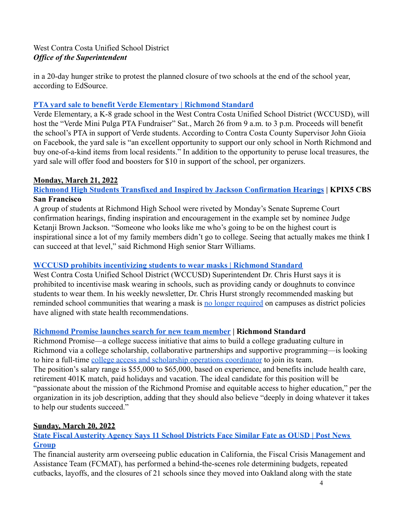in a 20-day hunger strike to protest the planned closure of two schools at the end of the school year, according to EdSource.

### **[PTA yard sale to benefit Verde Elementary | Richmond Standard](https://richmondstandard.com/lifestyle/entertainment-and-food/2022/03/22/pta-yard-sale-to-benefit-verde-elementary/)**

Verde Elementary, a K-8 grade school in the West Contra Costa Unified School District (WCCUSD), will host the "Verde Mini Pulga PTA Fundraiser" Sat., March 26 from 9 a.m. to 3 p.m. Proceeds will benefit the school's PTA in support of Verde students. According to Contra Costa County Supervisor John Gioia on Facebook, the yard sale is "an excellent opportunity to support our only school in North Richmond and buy one-of-a-kind items from local residents." In addition to the opportunity to peruse local treasures, the yard sale will offer food and boosters for \$10 in support of the school, per organizers.

#### **Monday, March 21, 2022**

### **[Richmond High Students Transfixed and Inspired by Jackson Confirmation Hearings](https://sanfrancisco.cbslocal.com/2022/03/21/richmond-high-students-transfixed-and-inspired-by-jackson-confirmation-hearings/) | KPIX5 CBS San Francisco**

A group of students at Richmond High School were riveted by Monday's Senate Supreme Court confirmation hearings, finding inspiration and encouragement in the example set by nominee Judge Ketanji Brown Jackson. "Someone who looks like me who's going to be on the highest court is inspirational since a lot of my family members didn't go to college. Seeing that actually makes me think I can succeed at that level," said Richmond High senior Starr Williams.

#### **[WCCUSD prohibits incentivizing students to wear masks | Richmond Standard](https://richmondstandard.com/richmond/2022/03/21/wccusd-prohibits-incentivizing-students-to-wear-masks/)**

West Contra Costa Unified School District (WCCUSD) Superintendent Dr. Chris Hurst says it is prohibited to incentivise mask wearing in schools, such as providing candy or doughnuts to convince students to wear them. In his weekly newsletter, Dr. Chris Hurst strongly recommended masking but reminded school communities that wearing a mask is [no longer required](https://richmondstandard.com/community/education/2022/03/14/wccusd-changes-mask-guidelines/) on campuses as district policies have aligned with state health recommendations.

## **[Richmond Promise launches search for new team member](https://richmondstandard.com/richmond/2022/03/21/richmond-promise-launches-search-for-new-team-member/) | Richmond Standard**

Richmond Promise—a college success initiative that aims to build a college graduating culture in Richmond via a college scholarship, collaborative partnerships and supportive programming—is looking to hire a full-time [college access and scholarship](https://drive.google.com/file/d/12QE7GA-G2SIy1SUQKsa9sCASEDQIfKM5/view) operations coordinator to join its team. The position's salary range is \$55,000 to \$65,000, based on experience, and benefits include health care, retirement 401K match, paid holidays and vacation. The ideal candidate for this position will be "passionate about the mission of the Richmond Promise and equitable access to higher education," per the organization in its job description, adding that they should also believe "deeply in doing whatever it takes to help our students succeed."

#### **Sunday, March 20, 2022**

## **[State Fiscal Austerity Agency Says 11 School Districts Face Similar Fate as OUSD | Post News](https://www.postnewsgroup.com/state-fiscal-austerity-agency-says-11-school-districts-face-similar-fate-as-ousd/) [Group](https://www.postnewsgroup.com/state-fiscal-austerity-agency-says-11-school-districts-face-similar-fate-as-ousd/)**

The financial austerity arm overseeing public education in California, the Fiscal Crisis Management and Assistance Team (FCMAT), has performed a behind-the-scenes role determining budgets, repeated cutbacks, layoffs, and the closures of 21 schools since they moved into Oakland along with the state